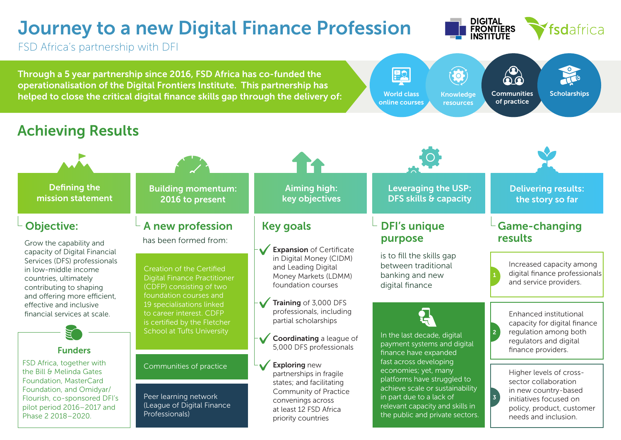### Journey to a new Digital Finance Profession



FSD Africa's partnership with DFI

Through a 5 year partnership since 2016, FSD Africa has co-funded the operationalisation of the Digital Frontiers Institute. This partnership has helped to close the critical digital finance skills gap through the delivery of:



#### Achieving Results

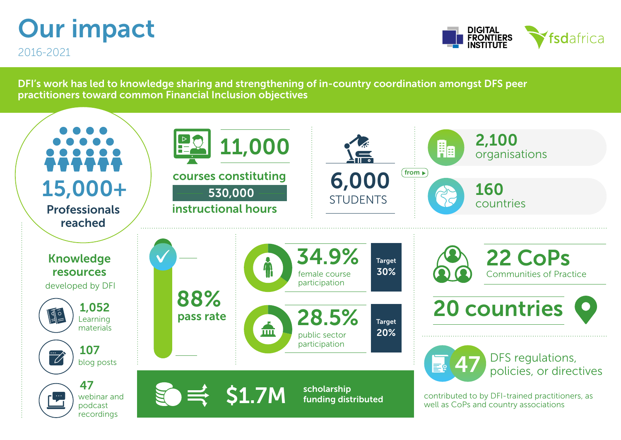# Our impact

2016-2021



DFI's work has led to knowledge sharing and strengthening of in-country coordination amongst DFS peer practitioners toward common Financial Inclusion objectives

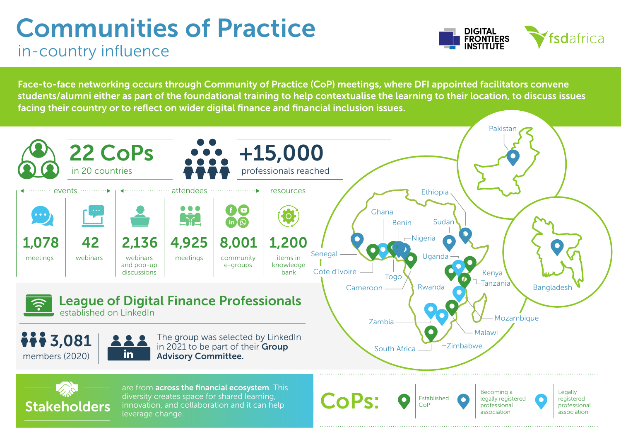### Communities of Practice in-country influence



Face-to-face networking occurs through Community of Practice (CoP) meetings, where DFI appointed facilitators convene students/alumni either as part of the foundational training to help contextualise the learning to their location, to discuss issues facing their country or to reflect on wider digital finance and financial inclusion issues.